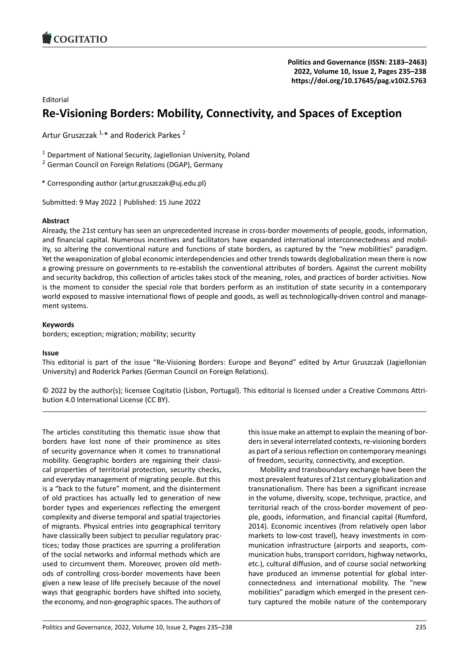

# Editorial

# **Re‐Visioning Borders: Mobility, Connectivity, an[d Spaces of Exception](https://doi.org/10.17645/pag.v10i2.5763)**

Artur Gruszczak<sup>1,\*</sup> and Roderick Parkes<sup>2</sup>

<sup>1</sup> Department of National Security, Jagiellonian University, Poland

<sup>2</sup> German Council on Foreign Relations (DGAP), Germany

\* Corresponding author (artur.gruszczak@uj.edu.pl)

Submitted: 9 May 2022 | Published: 15 June 2022

### **Abstract**

Already, the 21st century has seen an unprecedented increase in cross‐border movements of people, goods, information, and financial capital. Numerous incentives and facilitators have expanded international interconnectedness and mobil‐ ity, so altering the conventional nature and functions of state borders, as captured by the "new mobilities" paradigm. Yet the weaponization of global economic interdependencies and other trends towards deglobalization mean there is now a growing pressure on governments to re-establish the conventional attributes of borders. Against the current mobility and security backdrop, this collection of articles takes stock of the meaning, roles, and practices of border activities. Now is the moment to consider the special role that borders perform as an institution of state security in a contemporary world exposed to massive international flows of people and goods, as well as technologically-driven control and management systems.

### **Keywords**

borders; exception; migration; mobility; security

### **Issue**

This editorial is part of the issue "Re‐Visioning Borders: Europe and Beyond" edited by Artur Gruszczak (Jagiellonian University) and Roderick Parkes (German Council on Foreign Relations).

© 2022 by the author(s); licensee Cogitatio (Lisbon, Portugal). This editorial is licensed under a Creative Commons Attri‐ bution 4.0 International License (CC BY).

The articles constituting this thematic issue show that borders have lost none of their prominence as sites of security governance when it comes to transnational mobility. Geographic borders are regaining their classi‐ cal properties of territorial protection, security checks, and everyday management of migrating people. But this is a "back to the future" moment, and the disinterment of old practices has actually led to generation of new border types and experiences reflecting the emergent complexity and diverse temporal and spatial trajectories of migrants. Physical entries into geographical territory have classically been subject to peculiar regulatory practices; today those practices are spurring a proliferation of the social networks and informal methods which are used to circumvent them. Moreover, proven old meth‐ ods of controlling cross‐border movements have been given a new lease of life precisely because of the novel ways that geographic borders have shifted into society, the economy, and non‐geographic spaces. The authors of

this issue make an attempt to explain the meaning of bor‐ ders in several interrelated contexts, re‐visioning borders as part of a serious reflection on contemporary meanings of freedom, security, connectivity, and exception.

Mobility and transboundary exchange have been the most prevalent features of 21st century globalization and transnationalism. There has been a significant increase in the volume, diversity, scope, technique, practice, and territorial reach of the cross‐border movement of peo‐ ple, goods, information, and financial capital (Rumford, 2014). Economic incentives (from relatively open labor markets to low-cost travel), heavy investments in communication infrastructure (airports and seaports, com‐ munication hubs, transport corridors, highway networks, etc.), cultural diffusion, and of course social networking have produced an immense potential for global interconnectedness and international mobility. The "new mobilities" paradigm which emerged in the present cen‐ tury captured the mobile nature of the contemporary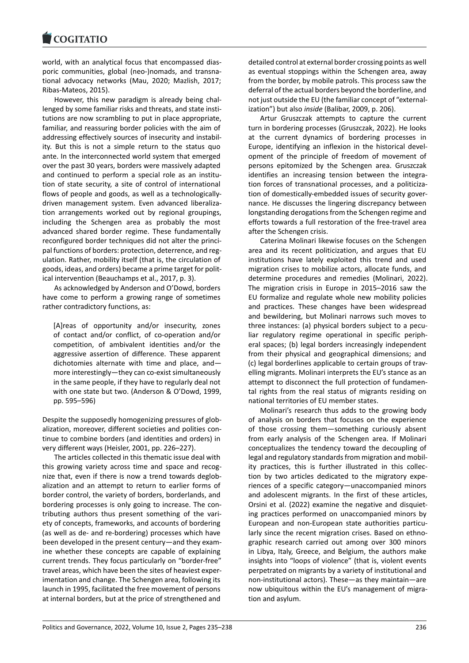#### **LOGITATIO**

world, with an analytical focus that encompassed dias[poric communities,](https://www.cogitatiopress.com) global (neo‐)nomads, and transna‐ tional advocacy networks (Mau, 2020; Mazlish, 2017; Ribas‐Mateos, 2015).

However, this new paradigm is already being chal‐ lenged by some familiar risks and threats, and state insti‐ tutions are now scrambling to put in place appropriate, familiar, and reassuring border policies with the aim of addressing effectively sources of insecurity and instabil‐ ity. But this is not a simple return to the status quo ante. In the interconnected world system that emerged over the past 30 years, borders were massively adapted and continued to perform a special role as an institution of state security, a site of control of international flows of people and goods, as well as a technologically‐ driven management system. Even advanced liberaliza‐ tion arrangements worked out by regional groupings, including the Schengen area as probably the most advanced shared border regime. These fundamentally reconfigured border techniques did not alter the princi‐ pal functions of borders: protection, deterrence, and reg‐ ulation. Rather, mobility itself (that is, the circulation of goods, ideas, and orders) became a prime target for polit‐ ical intervention (Beauchamps et al., 2017, p. 3).

As acknowledged by Anderson and O'Dowd, borders have come to perform a growing range of sometimes rather contradictory functions, as:

[A]reas of opportunity and/or insecurity, zones of contact and/or conflict, of co‐operation and/or competition, of ambivalent identities and/or the aggressive assertion of difference. These apparent dichotomies alternate with time and place, and more interestingly—they can co‐exist simultaneously in the same people, if they have to regularly deal not with one state but two. (Anderson & O'Dowd, 1999, pp. 595–596)

Despite the supposedly homogenizing pressures of glob‐ alization, moreover, different societies and polities con‐ tinue to combine borders (and identities and orders) in very different ways (Heisler, 2001, pp. 226–227).

The articles collected in this thematic issue deal with this growing variety across time and space and recog‐ nize that, even if there is now a trend towards deglob‐ alization and an attempt to return to earlier forms of border control, the variety of borders, borderlands, and bordering processes is only going to increase. The con‐ tributing authors thus present something of the vari‐ ety of concepts, frameworks, and accounts of bordering (as well as de‐ and re‐bordering) processes which have been developed in the present century—and they exam‐ ine whether these concepts are capable of explaining current trends. They focus particularly on "border‐free" travel areas, which have been the sites of heaviest exper‐ imentation and change. The Schengen area, following its launch in 1995, facilitated the free movement of persons at internal borders, but at the price of strengthened and

detailed control at external border crossing points as well as eventual stoppings within the Schengen area, away from the border, by mobile patrols. This process saw the deferral of the actual borders beyond the borderline, and not just outside the EU (the familiar concept of "external‐ ization") but also *inside* (Balibar, 2009, p. 206).

Artur Gruszczak attempts to capture the current turn in bordering processes (Gruszczak, 2022). He looks at the current dynamics of bordering processes in Europe, identifying an inflexion in the historical devel‐ opment of the principle of freedom of movement of persons epitomized by the Schengen area. Gruszczak identifies an increasing tension between the integration forces of transnational processes, and a politiciza‐ tion of domestically‐embedded issues of security gover‐ nance. He discusses the lingering discrepancy between longstanding derogations from the Schengen regime and efforts towards a full restoration of the free‐travel area after the Schengen crisis.

Caterina Molinari likewise focuses on the Schengen area and its recent politicization, and argues that EU institutions have lately exploited this trend and used migration crises to mobilize actors, allocate funds, and determine procedures and remedies (Molinari, 2022). The migration crisis in Europe in 2015–2016 saw the EU formalize and regulate whole new mobility policies and practices. These changes have been widespread and bewildering, but Molinari narrows such moves to three instances: (a) physical borders subject to a pecu‐ liar regulatory regime operational in specific periph‐ eral spaces; (b) legal borders increasingly independent from their physical and geographical dimensions; and (c) legal borderlines applicable to certain groups of trav‐ elling migrants. Molinari interprets the EU's stance as an attempt to disconnect the full protection of fundamen‐ tal rights from the real status of migrants residing on national territories of EU member states.

Molinari's research thus adds to the growing body of analysis on borders that focuses on the experience of those crossing them—something curiously absent from early analysis of the Schengen area. If Molinari conceptualizes the tendency toward the decoupling of legal and regulatory standards from migration and mobil‐ ity practices, this is further illustrated in this collec‐ tion by two articles dedicated to the migratory expe‐ riences of a specific category—unaccompanied minors and adolescent migrants. In the first of these articles, Orsini et al. (2022) examine the negative and disquiet‐ ing practices performed on unaccompanied minors by European and non‐European state authorities particu‐ larly since the recent migration crises. Based on ethnographic research carried out among over 300 minors in Libya, Italy, Greece, and Belgium, the authors make insights into "loops of violence" (that is, violent events perpetrated on migrants by a variety of institutional and non‐institutional actors). These—as they maintain—are now ubiquitous within the EU's management of migra‐ tion and asylum.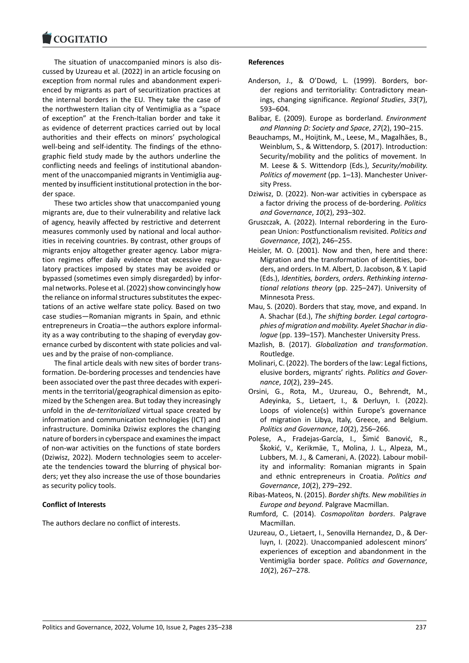#### COGHALIO

The situation of unaccompanied minors is also dis‐ [cussed by Uzureau e](https://www.cogitatiopress.com)t al. (2022) in an article focusing on exception from normal rules and abandonment experi‐ enced by migrants as part of securitization practices at the internal borders in the EU. They take the case of the northwestern Italian city of Ventimiglia as a "space of exception" at the French‐Italian border and take it as evidence of deterrent practices carried out by local authorities and their effects on minors' psychological well-being and self-identity. The findings of the ethnographic field study made by the authors underline the conflicting needs and feelings of institutional abandon‐ ment of the unaccompanied migrants in Ventimiglia augmented by insufficient institutional protection in the bor‐ der space.

These two articles show that unaccompanied young migrants are, due to their vulnerability and relative lack of agency, heavily affected by restrictive and deterrent measures commonly used by national and local author‐ ities in receiving countries. By contrast, other groups of migrants enjoy altogether greater agency. Labor migra‐ tion regimes offer daily evidence that excessive regu‐ latory practices imposed by states may be avoided or bypassed (sometimes even simply disregarded) by infor‐ mal networks. Polese et al. (2022) show convincingly how the reliance on informal structures substitutes the expec‐ tations of an active welfare state policy. Based on two case studies—Romanian migrants in Spain, and ethnic entrepreneurs in Croatia—the authors explore informal‐ ity as a way contributing to the shaping of everyday governance curbed by discontent with state policies and val‐ ues and by the praise of non‐compliance.

The final article deals with new sites of border trans‐ formation. De‐bordering processes and tendencies have been associated over the past three decades with experi‐ ments in the territorial/geographical dimension as epito‐ mized by the Schengen area. But today they increasingly unfold in the *de‐territorialized* virtual space created by information and communication technologies (ICT) and infrastructure. Dominika Dziwisz explores the changing nature of borders in cyberspace and examines the impact of non‐war activities on the functions of state borders (Dziwisz, 2022). Modern technologies seem to acceler‐ ate the tendencies toward the blurring of physical bor‐ ders; yet they also increase the use of those boundaries as security policy tools.

# **Conflict of Interests**

The authors declare no conflict of interests.

### **References**

- Anderson, J., & O'Dowd, L. (1999). Borders, bor‐ der regions and territoriality: Contradictory mean‐ ings, changing significance. *Regional Studies*, *33*(7), 593–604.
- Balibar, E. (2009). Europe as borderland. *Environment and Planning D: Society and Space*, *27*(2), 190–215.
- Beauchamps, M., Hoijtink, M., Leese, M., Magalhăes, B., Weinblum, S., & Wittendorp, S. (2017). Introduction: Security/mobility and the politics of movement. In M. Leese & S. Wittendorp (Eds.), *Security/mobility. Politics of movement* (pp. 1–13). Manchester Univer‐ sity Press.
- Dziwisz, D. (2022). Non‐war activities in cyberspace as a factor driving the process of de‐bordering. *Politics and Governance*, *10*(2), 293–302.
- Gruszczak, A. (2022). Internal rebordering in the Euro‐ pean Union: Postfunctionalism revisited. *Politics and Governance*, *10*(2), 246–255.
- Heisler, M. O. (2001). Now and then, here and there: Migration and the transformation of identities, bor‐ ders, and orders. In M. Albert, D. Jacobson, & Y. Lapid (Eds.), *Identities, borders, orders. Rethinking interna‐ tional relations theory* (pp. 225–247). University of Minnesota Press.
- Mau, S. (2020). Borders that stay, move, and expand. In A. Shachar (Ed.), *The shifting border. Legal cartogra‐ phies of migration and mobility. Ayelet Shachar in dia‐ logue* (pp. 139–157). Manchester University Press.
- Mazlish, B. (2017). *Globalization and transformation*. Routledge.
- Molinari, C. (2022). The borders of the law: Legal fictions, elusive borders, migrants' rights. *Politics and Gover‐ nance*, *10*(2), 239–245.
- Orsini, G., Rota, M., Uzureau, O., Behrendt, M., Adeyinka, S., Lietaert, I., & Derluyn, I. (2022). Loops of violence(s) within Europe's governance of migration in Libya, Italy, Greece, and Belgium. *Politics and Governance*, *10*(2), 256–266.
- Polese, A., Fradejas‐García, I., Šimić Banović, R., Škokić, V., Kerikmäe, T., Molina, J. L., Alpeza, M., Lubbers, M. J., & Camerani, A. (2022). Labour mobil‐ ity and informality: Romanian migrants in Spain and ethnic entrepreneurs in Croatia. *Politics and Governance*, *10*(2), 279–292.
- Ribas‐Mateos, N. (2015). *Border shifts. New mobilities in Europe and beyond*. Palgrave Macmillan.
- Rumford, C. (2014). *Cosmopolitan borders*. Palgrave Macmillan.
- Uzureau, O., Lietaert, I., Senovilla Hernandez, D., & Der‐ luyn, I. (2022). Unaccompanied adolescent minors' experiences of exception and abandonment in the Ventimiglia border space. *Politics and Governance*, *10*(2), 267–278.